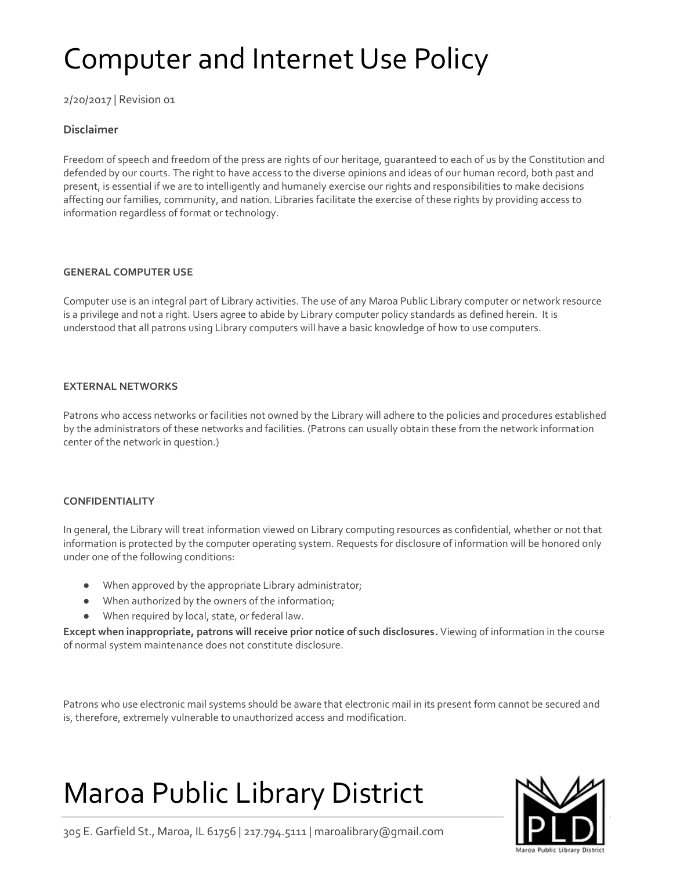## Computer and Internet Use Policy

2/20/2017 | Revision 01

## **Disclaimer**

Freedom of speech and freedom of the press are rights of our heritage, guaranteed to each of us by the Constitution and defended by our courts. The right to have access to the diverse opinions and ideas of our human record, both past and present, is essential if we are to intelligently and humanely exercise our rights and responsibilities to make decisions affecting our families, community, and nation. Libraries facilitate the exercise of these rights by providing access to information regardless of format or technology.

## **GENERAL COMPUTER USE**

Computer use is an integral part of Library activities. The use of any Maroa Public Library computer or network resource is a privilege and not a right. Users agree to abide by Library computer policy standards as defined herein. It is understood that all patrons using Library computers will have a basic knowledge of how to use computers.

## **EXTERNAL NETWORKS**

Patrons who access networks or facilities not owned by the Library will adhere to the policies and procedures established by the administrators of these networks and facilities. (Patrons can usually obtain these from the network information center of the network in question.)

## **CONFIDENTIALITY**

In general, the Library will treat information viewed on Library computing resources as confidential, whether or not that information is protected by the computer operating system. Requests for disclosure of information will be honored only under one of the following conditions:

- When approved by the appropriate Library administrator;
- When authorized by the owners of the information;
- When required by local, state, or federal law.

**Except when inappropriate, patrons will receive prior notice of such disclosures.** Viewing of information in the course of normal system maintenance does not constitute disclosure.

Patrons who use electronic mail systems should be aware that electronic mail in its present form cannot be secured and is, therefore, extremely vulnerable to unauthorized access and modification.

# Maroa Public Library District



305 E. Garfield St., Maroa, IL 61756 | 217.794.5111 | maroalibrary@gmail.com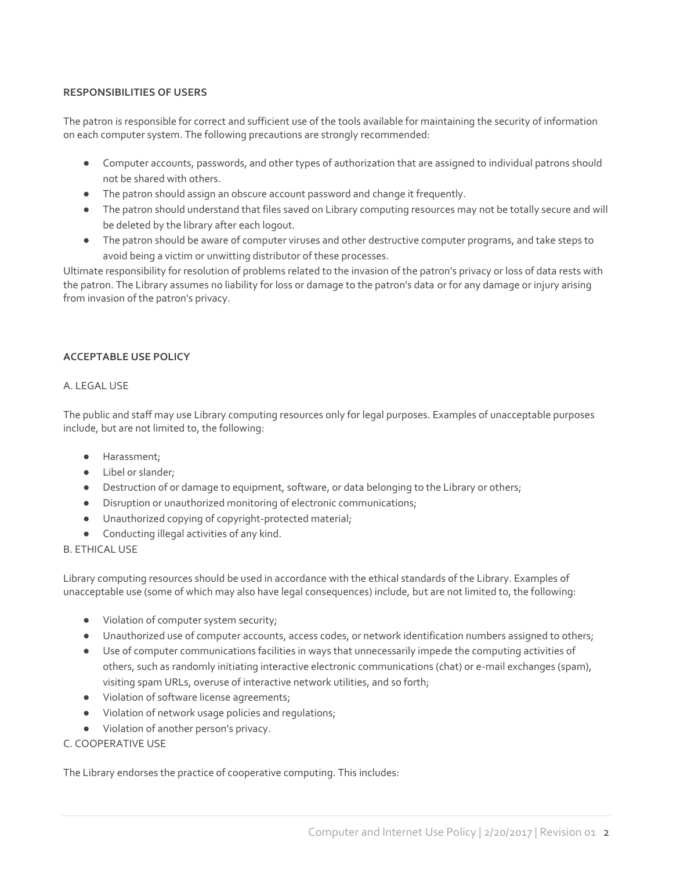## **RESPONSIBILITIES OF USERS**

The patron is responsible for correct and sufficient use of the tools available for maintaining the security of information on each computer system. The following precautions are strongly recommended:

- Computer accounts, passwords, and other types of authorization that are assigned to individual patrons should not be shared with others.
- The patron should assign an obscure account password and change it frequently.
- The patron should understand that files saved on Library computing resources may not be totally secure and will be deleted by the library after each logout.
- The patron should be aware of computer viruses and other destructive computer programs, and take steps to avoid being a victim or unwitting distributor of these processes.

Ultimate responsibility for resolution of problems related to the invasion of the patron's privacy or loss of data rests with the patron. The Library assumes no liability for loss or damage to the patron's data or for any damage or injury arising from invasion of the patron's privacy.

## **ACCEPTABLE USE POLICY**

#### A. LEGAL USE

The public and staff may use Library computing resources only for legal purposes. Examples of unacceptable purposes include, but are not limited to, the following:

- Harassment;
- Libel or slander;
- Destruction of or damage to equipment, software, or data belonging to the Library or others;
- Disruption or unauthorized monitoring of electronic communications;
- Unauthorized copying of copyright-protected material;
- Conducting illegal activities of any kind.

#### B. ETHICAL USE

Library computing resources should be used in accordance with the ethical standards of the Library. Examples of unacceptable use (some of which may also have legal consequences) include, but are not limited to, the following:

- Violation of computer system security;
- Unauthorized use of computer accounts, access codes, or network identification numbers assigned to others;
- Use of computer communications facilities in ways that unnecessarily impede the computing activities of others, such as randomly initiating interactive electronic communications (chat) or e-mail exchanges (spam), visiting spam URLs, overuse of interactive network utilities, and so forth;
- Violation of software license agreements;
- Violation of network usage policies and regulations;
- Violation of another person's privacy.

## C. COOPERATIVE USE

The Library endorses the practice of cooperative computing. This includes: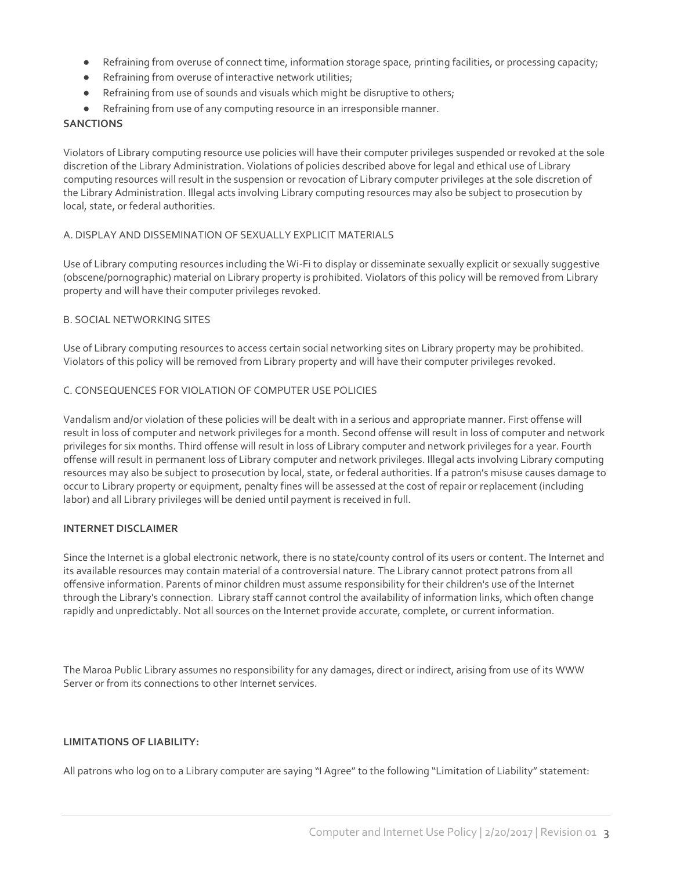- Refraining from overuse of connect time, information storage space, printing facilities, or processing capacity;
- Refraining from overuse of interactive network utilities;
- Refraining from use of sounds and visuals which might be disruptive to others;
- Refraining from use of any computing resource in an irresponsible manner.

## **SANCTIONS**

Violators of Library computing resource use policies will have their computer privileges suspended or revoked at the sole discretion of the Library Administration. Violations of policies described above for legal and ethical use of Library computing resources will result in the suspension or revocation of Library computer privileges at the sole discretion of the Library Administration. Illegal acts involving Library computing resources may also be subject to prosecution by local, state, or federal authorities.

#### A. DISPLAY AND DISSEMINATION OF SEXUALLY EXPLICIT MATERIALS

Use of Library computing resources including the Wi-Fi to display or disseminate sexually explicit or sexually suggestive (obscene/pornographic) material on Library property is prohibited. Violators of this policy will be removed from Library property and will have their computer privileges revoked.

#### B. SOCIAL NETWORKING SITES

Use of Library computing resources to access certain social networking sites on Library property may be prohibited. Violators of this policy will be removed from Library property and will have their computer privileges revoked.

#### C. CONSEQUENCES FOR VIOLATION OF COMPUTER USE POLICIES

Vandalism and/or violation of these policies will be dealt with in a serious and appropriate manner. First offense will result in loss of computer and network privileges for a month. Second offense will result in loss of computer and network privileges for six months. Third offense will result in loss of Library computer and network privileges for a year. Fourth offense will result in permanent loss of Library computer and network privileges. Illegal acts involving Library computing resources may also be subject to prosecution by local, state, or federal authorities. If a patron's misuse causes damage to occur to Library property or equipment, penalty fines will be assessed at the cost of repair or replacement (including labor) and all Library privileges will be denied until payment is received in full.

#### **INTERNET DISCLAIMER**

Since the Internet is a global electronic network, there is no state/county control of its users or content. The Internet and its available resources may contain material of a controversial nature. The Library cannot protect patrons from all offensive information. Parents of minor children must assume responsibility for their children's use of the Internet through the Library's connection. Library staff cannot control the availability of information links, which often change rapidly and unpredictably. Not all sources on the Internet provide accurate, complete, or current information.

The Maroa Public Library assumes no responsibility for any damages, direct or indirect, arising from use of its WWW Server or from its connections to other Internet services.

#### **LIMITATIONS OF LIABILITY:**

All patrons who log on to a Library computer are saying "I Agree" to the following "Limitation of Liability" statement: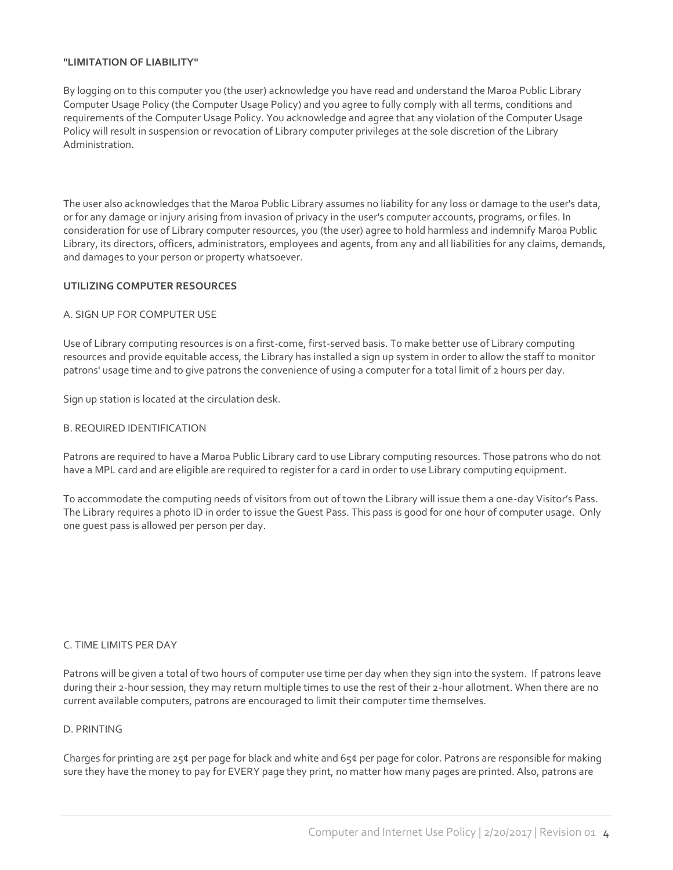## **"LIMITATION OF LIABILITY"**

By logging on to this computer you (the user) acknowledge you have read and understand the Maroa Public Library Computer Usage Policy (the Computer Usage Policy) and you agree to fully comply with all terms, conditions and requirements of the Computer Usage Policy. You acknowledge and agree that any violation of the Computer Usage Policy will result in suspension or revocation of Library computer privileges at the sole discretion of the Library Administration.

The user also acknowledges that the Maroa Public Library assumes no liability for any loss or damage to the user's data, or for any damage or injury arising from invasion of privacy in the user's computer accounts, programs, or files. In consideration for use of Library computer resources, you (the user) agree to hold harmless and indemnify Maroa Public Library, its directors, officers, administrators, employees and agents, from any and all liabilities for any claims, demands, and damages to your person or property whatsoever.

## **UTILIZING COMPUTER RESOURCES**

## A. SIGN UP FOR COMPUTER USE

Use of Library computing resources is on a first-come, first-served basis. To make better use of Library computing resources and provide equitable access, the Library has installed a sign up system in order to allow the staff to monitor patrons' usage time and to give patrons the convenience of using a computer for a total limit of 2 hours per day.

Sign up station is located at the circulation desk.

#### B. REQUIRED IDENTIFICATION

Patrons are required to have a Maroa Public Library card to use Library computing resources. Those patrons who do not have a MPL card and are eligible are required to register for a card in order to use Library computing equipment.

To accommodate the computing needs of visitors from out of town the Library will issue them a one-day Visitor's Pass. The Library requires a photo ID in order to issue the Guest Pass. This pass is good for one hour of computer usage. Only one guest pass is allowed per person per day.

#### C. TIME LIMITS PER DAY

Patrons will be given a total of two hours of computer use time per day when they sign into the system. If patrons leave during their 2-hour session, they may return multiple times to use the rest of their 2-hour allotment. When there are no current available computers, patrons are encouraged to limit their computer time themselves.

#### D. PRINTING

Charges for printing are 25¢ per page for black and white and 65¢ per page for color. Patrons are responsible for making sure they have the money to pay for EVERY page they print, no matter how many pages are printed. Also, patrons are